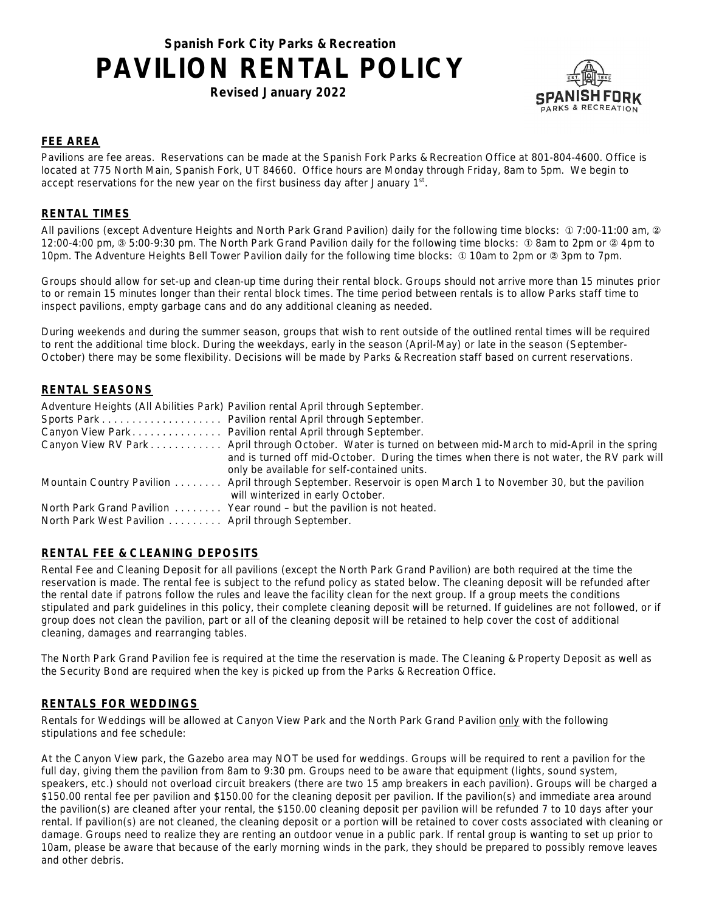# **Spanish Fork City Parks & Recreation PAVILION RENTAL POLICY**

**Revised January 2022** 



## **FEE AREA**

Pavilions are fee areas. Reservations can be made at the Spanish Fork Parks & Recreation Office at 801-804-4600. Office is located at 775 North Main, Spanish Fork, UT 84660. Office hours are Monday through Friday, 8am to 5pm. We begin to accept reservations for the new year on the first business day after January  $1<sup>st</sup>$ .

### **RENTAL TIMES**

All pavilions (except Adventure Heights and North Park Grand Pavilion) daily for the following time blocks:  $\Phi$  7:00-11:00 am,  $\Phi$ 12:00-4:00 pm, 3 5:00-9:30 pm. The North Park Grand Pavilion daily for the following time blocks: ① 8am to 2pm or 2 4pm to 10pm. The Adventure Heights Bell Tower Pavilion daily for the following time blocks: ① 10am to 2pm or ② 3pm to 7pm.

Groups should allow for set-up and clean-up time during their rental block. Groups should not arrive more than 15 minutes prior to or remain 15 minutes longer than their rental block times. The time period between rentals is to allow Parks staff time to inspect pavilions, empty garbage cans and do any additional cleaning as needed.

During weekends and during the summer season, groups that wish to rent outside of the outlined rental times will be required to rent the additional time block. During the weekdays, early in the season (April-May) or late in the season (September-October) there may be some flexibility. Decisions will be made by Parks & Recreation staff based on current reservations.

## **RENTAL SEASONS**

|                                                   | Adventure Heights (All Abilities Park) Pavilion rental April through September.                               |
|---------------------------------------------------|---------------------------------------------------------------------------------------------------------------|
|                                                   |                                                                                                               |
|                                                   | Canyon View Park Pavilion rental April through September.                                                     |
|                                                   | Canyon View RV Park April through October. Water is turned on between mid-March to mid-April in the spring    |
|                                                   | and is turned off mid-October. During the times when there is not water, the RV park will                     |
|                                                   | only be available for self-contained units.                                                                   |
|                                                   | Mountain Country Pavilion April through September. Reservoir is open March 1 to November 30, but the pavilion |
|                                                   | will winterized in early October.                                                                             |
|                                                   | North Park Grand Pavilion Year round - but the pavilion is not heated.                                        |
| North Park West Pavilion April through September. |                                                                                                               |

## **RENTAL FEE & CLEANING DEPOSITS**

Rental Fee and Cleaning Deposit for all pavilions (except the North Park Grand Pavilion) are both required at the time the reservation is made. The rental fee is subject to the refund policy as stated below. The cleaning deposit will be refunded after the rental date if patrons follow the rules and leave the facility clean for the next group. If a group meets the conditions stipulated and park guidelines in this policy, their complete cleaning deposit will be returned. If guidelines are not followed, or if group does not clean the pavilion, part or all of the cleaning deposit will be retained to help cover the cost of additional cleaning, damages and rearranging tables.

The North Park Grand Pavilion fee is required at the time the reservation is made. The Cleaning & Property Deposit as well as the Security Bond are required when the key is picked up from the Parks & Recreation Office.

### **RENTALS FOR WEDDINGS**

Rentals for Weddings will be allowed at Canyon View Park and the North Park Grand Pavilion only with the following stipulations and fee schedule:

At the Canyon View park, the Gazebo area may NOT be used for weddings. Groups will be required to rent a pavilion for the full day, giving them the pavilion from 8am to 9:30 pm. Groups need to be aware that equipment (lights, sound system, speakers, etc.) should not overload circuit breakers (there are two 15 amp breakers in each pavilion). Groups will be charged a \$150.00 rental fee per pavilion and \$150.00 for the cleaning deposit per pavilion. If the pavilion(s) and immediate area around the pavilion(s) are cleaned after your rental, the \$150.00 cleaning deposit per pavilion will be refunded 7 to 10 days after your rental. If pavilion(s) are not cleaned, the cleaning deposit or a portion will be retained to cover costs associated with cleaning or damage. Groups need to realize they are renting an outdoor venue in a public park. If rental group is wanting to set up prior to 10am, please be aware that because of the early morning winds in the park, they should be prepared to possibly remove leaves and other debris.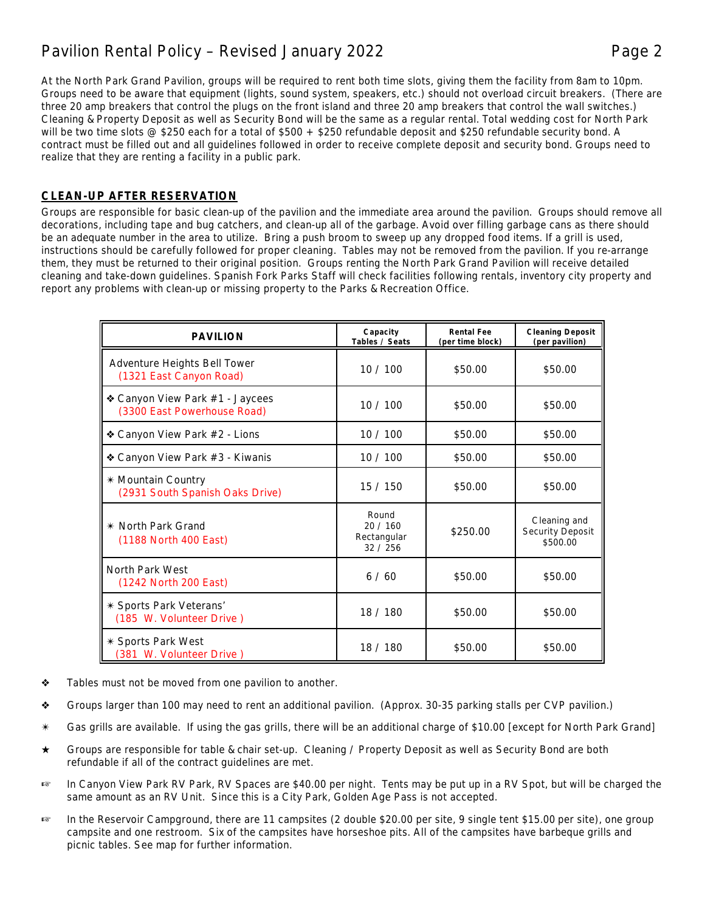## Pavilion Rental Policy – Revised January 2022 Page 2

At the North Park Grand Pavilion, groups will be required to rent both time slots, giving them the facility from 8am to 10pm. Groups need to be aware that equipment (lights, sound system, speakers, etc.) should not overload circuit breakers. (There are three 20 amp breakers that control the plugs on the front island and three 20 amp breakers that control the wall switches.) Cleaning & Property Deposit as well as Security Bond will be the same as a regular rental. Total wedding cost for North Park will be two time slots @ \$250 each for a total of \$500 + \$250 refundable deposit and \$250 refundable security bond. A contract must be filled out and all guidelines followed in order to receive complete deposit and security bond. Groups need to realize that they are renting a facility in a public park.

## **CLEAN-UP AFTER RESERVATION**

Groups are responsible for basic clean-up of the pavilion and the immediate area around the pavilion. Groups should remove all decorations, including tape and bug catchers, and clean-up all of the garbage. Avoid over filling garbage cans as there should be an adequate number in the area to utilize. Bring a push broom to sweep up any dropped food items. If a grill is used, instructions should be carefully followed for proper cleaning. Tables may not be removed from the pavilion. If you re-arrange them, they must be returned to their original position. Groups renting the North Park Grand Pavilion will receive detailed cleaning and take-down guidelines. Spanish Fork Parks Staff will check facilities following rentals, inventory city property and report any problems with clean-up or missing property to the Parks & Recreation Office.

| <b>PAVILION</b>                                                | Capacity<br>Tables / Seats               | <b>Rental Fee</b><br>(per time block) | <b>Cleaning Deposit</b><br>(per pavilion)           |
|----------------------------------------------------------------|------------------------------------------|---------------------------------------|-----------------------------------------------------|
| Adventure Heights Bell Tower<br>(1321 East Canyon Road)        | 10/100                                   | \$50.00                               | \$50.00                                             |
| ❖ Canyon View Park #1 - Jaycees<br>(3300 East Powerhouse Road) | 10/100                                   | \$50.00                               | \$50.00                                             |
| ❖ Canyon View Park #2 - Lions                                  | 10/100                                   | \$50.00                               | \$50.00                                             |
| ◆ Canyon View Park #3 - Kiwanis                                | 10/100                                   | \$50.00                               | \$50.00                                             |
| * Mountain Country<br>(2931 South Spanish Oaks Drive)          | 15/150                                   | \$50.00                               | \$50.00                                             |
| * North Park Grand<br>(1188 North 400 East)                    | Round<br>20/160<br>Rectangular<br>32/256 | \$250.00                              | Cleaning and<br><b>Security Deposit</b><br>\$500.00 |
| North Park West<br>(1242 North 200 East)                       | 6/60                                     | \$50.00                               | \$50.00                                             |
| * Sports Park Veterans'<br>(185 W. Volunteer Drive)            | 18 / 180                                 | \$50.00                               | \$50.00                                             |
| * Sports Park West<br>(381 W. Volunteer Drive)                 | 18 / 180                                 | \$50.00                               | \$50.00                                             |

- Tables must not be moved from one pavilion to another.
- Groups larger than 100 may need to rent an additional pavilion. (Approx. 30-35 parking stalls per CVP pavilion.)
- Gas grills are available. If using the gas grills, there will be an additional charge of \$10.00 [except for North Park Grand]
- Groups are responsible for table & chair set-up. Cleaning / Property Deposit as well as Security Bond are both refundable if all of the contract guidelines are met.
- In Canyon View Park RV Park, RV Spaces are \$40.00 per night. Tents may be put up in a RV Spot, but will be charged the same amount as an RV Unit. Since this is a City Park, Golden Age Pass is not accepted.
- <sup>1</sup> In the Reservoir Campground, there are 11 campsites (2 double \$20.00 per site, 9 single tent \$15.00 per site), one group campsite and one restroom. Six of the campsites have horseshoe pits. All of the campsites have barbeque grills and picnic tables. See map for further information.